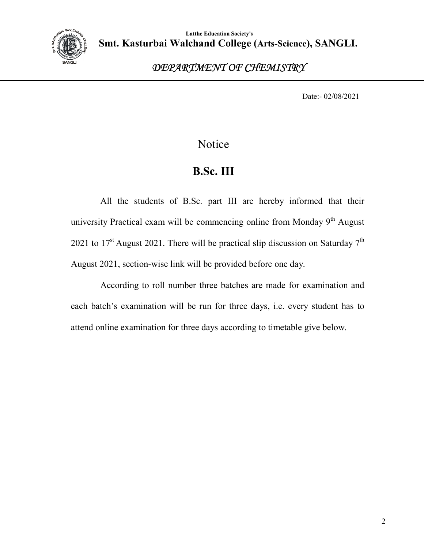

### *DEPARTMENT OF CHEMISTRY*

Date:- 02/08/2021

### Notice

## **B.Sc. III**

All the students of B.Sc. part III are hereby informed that their university Practical exam will be commencing online from Monday  $9<sup>th</sup>$  August 2021 to 17<sup>st</sup> August 2021. There will be practical slip discussion on Saturday 7<sup>th</sup> August 2021, section-wise link will be provided before one day.

According to roll number three batches are made for examination and each batch's examination will be run for three days, i.e. every student has to attend online examination for three days according to timetable give below.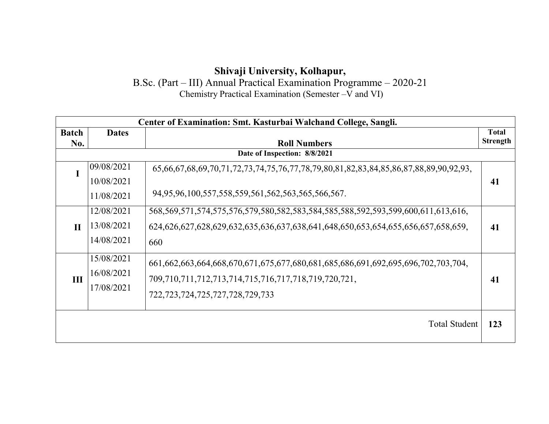#### **Shivaji University, Kolhapur,**

B.Sc. (Part – III) Annual Practical Examination Programme – 2020-21 Chemistry Practical Examination (Semester –V and VI)

| Center of Examination: Smt. Kasturbai Walchand College, Sangli. |                                        |                                                                                                                                                                                    |                                 |  |
|-----------------------------------------------------------------|----------------------------------------|------------------------------------------------------------------------------------------------------------------------------------------------------------------------------------|---------------------------------|--|
| <b>Batch</b><br>No.                                             | <b>Dates</b>                           | <b>Roll Numbers</b>                                                                                                                                                                | <b>Total</b><br><b>Strength</b> |  |
| Date of Inspection: 8/8/2021                                    |                                        |                                                                                                                                                                                    |                                 |  |
|                                                                 | 09/08/2021<br>10/08/2021               | 65,66,67,68,69,70,71,72,73,74,75,76,77,78,79,80,81,82,83,84,85,86,87,88,89,90,92,93,                                                                                               | 41                              |  |
|                                                                 | 11/08/2021                             | 94,95,96,100,557,558,559,561,562,563,565,566,567.                                                                                                                                  |                                 |  |
| $\mathbf{H}$                                                    | 12/08/2021<br>13/08/2021<br>14/08/2021 | 568,569,571,574,575,576,579,580,582,583,584,585,588,592,593,599,600,611,613,616,<br>624,626,627,628,629,632,635,636,637,638,641,648,650,653,654,655,656,657,658,659,<br>660        | 41                              |  |
| III                                                             | 15/08/2021<br>16/08/2021<br>17/08/2021 | 661,662,663,664,668,670,671,675,677,680,681,685,686,691,692,695,696,702,703,704,<br>709,710,711,712,713,714,715,716,717,718,719,720,721,<br>722, 723, 724, 725, 727, 728, 729, 733 | 41                              |  |
|                                                                 |                                        | <b>Total Student</b>                                                                                                                                                               | 123                             |  |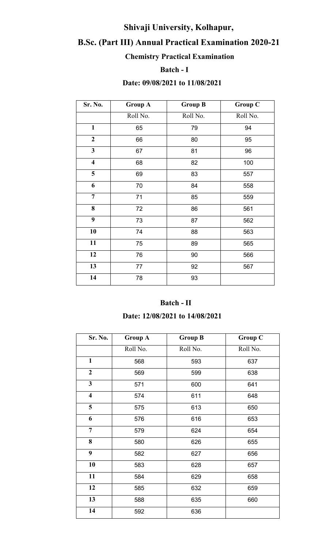## **Shivaji University, Kolhapur,**

## **B.Sc. (Part III) Annual Practical Examination 2020-21**

## **Chemistry Practical Examination**

#### **Batch - I**

#### **Date: 09/08/2021 to 11/08/2021**

| Sr. No.                 | <b>Group A</b> | <b>Group B</b> | <b>Group C</b> |
|-------------------------|----------------|----------------|----------------|
|                         | Roll No.       | Roll No.       | Roll No.       |
| $\mathbf{1}$            | 65             | 79             | 94             |
| $\overline{2}$          | 66             | 80             | 95             |
| $\overline{\mathbf{3}}$ | 67             | 81             | 96             |
| $\overline{\mathbf{4}}$ | 68             | 82             | 100            |
| $\overline{\mathbf{5}}$ | 69             | 83             | 557            |
| 6                       | 70             | 84             | 558            |
| $\overline{7}$          | 71             | 85             | 559            |
| 8                       | 72             | 86             | 561            |
| $\boldsymbol{9}$        | 73             | 87             | 562            |
| 10                      | 74             | 88             | 563            |
| 11                      | 75             | 89             | 565            |
| 12                      | 76             | 90             | 566            |
| 13                      | 77             | 92             | 567            |
| 14                      | 78             | 93             |                |

#### **Batch - II**

#### **Date: 12/08/2021 to 14/08/2021**

| Sr. No.                 | <b>Group A</b> | <b>Group B</b> | <b>Group C</b> |
|-------------------------|----------------|----------------|----------------|
|                         | Roll No.       | Roll No.       | Roll No.       |
| $\mathbf{1}$            | 568            | 593            | 637            |
| $\overline{2}$          | 569            | 599            | 638            |
| $\mathbf{3}$            | 571            | 600            | 641            |
| $\overline{\mathbf{4}}$ | 574            | 611            | 648            |
| 5                       | 575            | 613            | 650            |
| 6                       | 576            | 616            | 653            |
| $\overline{7}$          | 579            | 624            | 654            |
| 8                       | 580            | 626            | 655            |
| 9                       | 582            | 627            | 656            |
| 10                      | 583            | 628            | 657            |
| 11                      | 584            | 629            | 658            |
| 12                      | 585            | 632            | 659            |
| 13                      | 588            | 635            | 660            |
| 14                      | 592            | 636            |                |